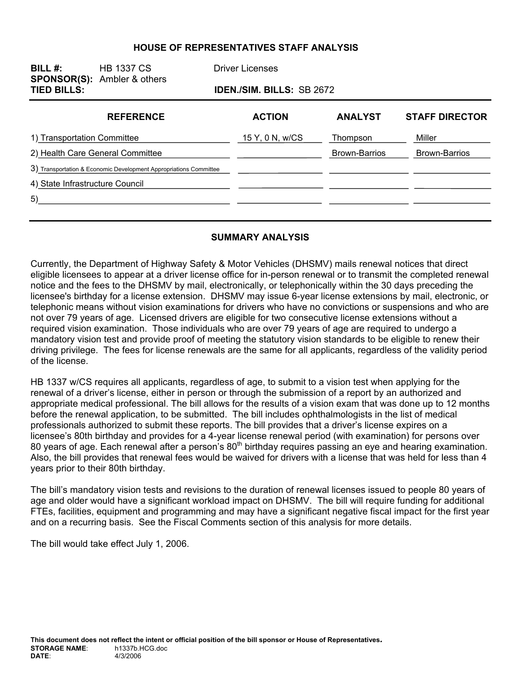#### **HOUSE OF REPRESENTATIVES STAFF ANALYSIS**

| BILL $#$ :<br><b>SPONSOR(S):</b> Ambler & others<br><b>TIED BILLS:</b> | <b>HB 1337 CS</b>                                                 | <b>Driver Licenses</b>           |                      |                       |
|------------------------------------------------------------------------|-------------------------------------------------------------------|----------------------------------|----------------------|-----------------------|
|                                                                        |                                                                   | <b>IDEN./SIM. BILLS: SB 2672</b> |                      |                       |
|                                                                        | <b>REFERENCE</b>                                                  | <b>ACTION</b>                    | <b>ANALYST</b>       | <b>STAFF DIRECTOR</b> |
| 1) Transportation Committee                                            |                                                                   | 15 Y, 0 N, w/CS                  | Thompson             | Miller                |
| 2) Health Care General Committee                                       |                                                                   |                                  | <b>Brown-Barrios</b> | <b>Brown-Barrios</b>  |
|                                                                        | 3) Transportation & Economic Development Appropriations Committee |                                  |                      |                       |
| 4) State Infrastructure Council                                        |                                                                   |                                  |                      |                       |
| 5)                                                                     |                                                                   |                                  |                      |                       |
|                                                                        |                                                                   |                                  |                      |                       |

#### **SUMMARY ANALYSIS**

Currently, the Department of Highway Safety & Motor Vehicles (DHSMV) mails renewal notices that direct eligible licensees to appear at a driver license office for in-person renewal or to transmit the completed renewal notice and the fees to the DHSMV by mail, electronically, or telephonically within the 30 days preceding the licensee's birthday for a license extension. DHSMV may issue 6-year license extensions by mail, electronic, or telephonic means without vision examinations for drivers who have no convictions or suspensions and who are not over 79 years of age. Licensed drivers are eligible for two consecutive license extensions without a required vision examination. Those individuals who are over 79 years of age are required to undergo a mandatory vision test and provide proof of meeting the statutory vision standards to be eligible to renew their driving privilege. The fees for license renewals are the same for all applicants, regardless of the validity period of the license.

HB 1337 w/CS requires all applicants, regardless of age, to submit to a vision test when applying for the renewal of a driver's license, either in person or through the submission of a report by an authorized and appropriate medical professional. The bill allows for the results of a vision exam that was done up to 12 months before the renewal application, to be submitted. The bill includes ophthalmologists in the list of medical professionals authorized to submit these reports. The bill provides that a driver's license expires on a licensee's 80th birthday and provides for a 4-year license renewal period (with examination) for persons over 80 years of age. Each renewal after a person's 80<sup>th</sup> birthday requires passing an eye and hearing examination. Also, the bill provides that renewal fees would be waived for drivers with a license that was held for less than 4 years prior to their 80th birthday.

The bill's mandatory vision tests and revisions to the duration of renewal licenses issued to people 80 years of age and older would have a significant workload impact on DHSMV. The bill will require funding for additional FTEs, facilities, equipment and programming and may have a significant negative fiscal impact for the first year and on a recurring basis. See the Fiscal Comments section of this analysis for more details.

The bill would take effect July 1, 2006.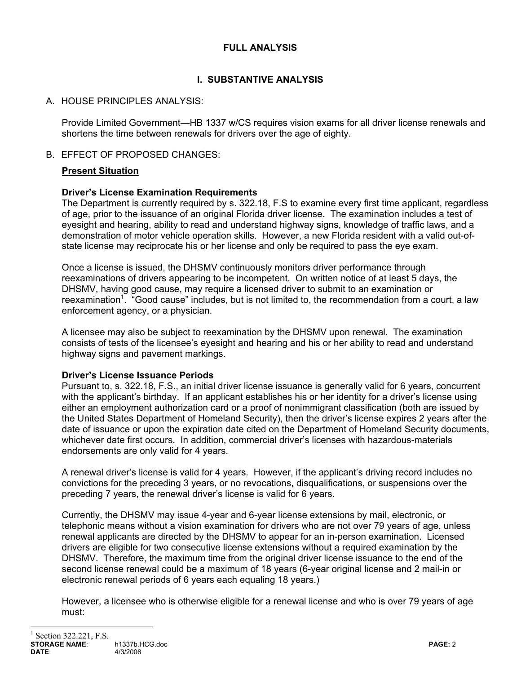# **FULL ANALYSIS**

# **I. SUBSTANTIVE ANALYSIS**

# A. HOUSE PRINCIPLES ANALYSIS:

Provide Limited Government—HB 1337 w/CS requires vision exams for all driver license renewals and shortens the time between renewals for drivers over the age of eighty.

## B. EFFECT OF PROPOSED CHANGES:

# **Present Situation**

## **Driver's License Examination Requirements**

The Department is currently required by s. 322.18, F.S to examine every first time applicant, regardless of age, prior to the issuance of an original Florida driver license. The examination includes a test of eyesight and hearing, ability to read and understand highway signs, knowledge of traffic laws, and a demonstration of motor vehicle operation skills. However, a new Florida resident with a valid out-ofstate license may reciprocate his or her license and only be required to pass the eye exam.

Once a license is issued, the DHSMV continuously monitors driver performance through reexaminations of drivers appearing to be incompetent. On written notice of at least 5 days, the DHSMV, having good cause, may require a licensed driver to submit to an examination or reexamination<sup>1</sup>. "Good cause" includes, but is not limited to, the recommendation from a court, a law enforcement agency, or a physician.

A licensee may also be subject to reexamination by the DHSMV upon renewal. The examination consists of tests of the licensee's eyesight and hearing and his or her ability to read and understand highway signs and pavement markings.

## **Driver's License Issuance Periods**

Pursuant to, s. 322.18, F.S., an initial driver license issuance is generally valid for 6 years, concurrent with the applicant's birthday. If an applicant establishes his or her identity for a driver's license using either an employment authorization card or a proof of nonimmigrant classification (both are issued by the United States Department of Homeland Security), then the driver's license expires 2 years after the date of issuance or upon the expiration date cited on the Department of Homeland Security documents, whichever date first occurs. In addition, commercial driver's licenses with hazardous-materials endorsements are only valid for 4 years.

A renewal driver's license is valid for 4 years. However, if the applicant's driving record includes no convictions for the preceding 3 years, or no revocations, disqualifications, or suspensions over the preceding 7 years, the renewal driver's license is valid for 6 years.

Currently, the DHSMV may issue 4-year and 6-year license extensions by mail, electronic, or telephonic means without a vision examination for drivers who are not over 79 years of age, unless renewal applicants are directed by the DHSMV to appear for an in-person examination. Licensed drivers are eligible for two consecutive license extensions without a required examination by the DHSMV. Therefore, the maximum time from the original driver license issuance to the end of the second license renewal could be a maximum of 18 years (6-year original license and 2 mail-in or electronic renewal periods of 6 years each equaling 18 years.)

However, a licensee who is otherwise eligible for a renewal license and who is over 79 years of age must:

 $\overline{a}$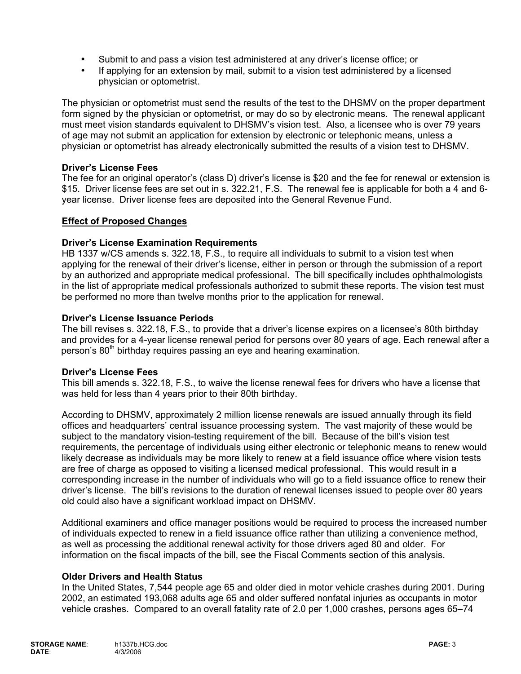- Submit to and pass a vision test administered at any driver's license office; or
- If applying for an extension by mail, submit to a vision test administered by a licensed physician or optometrist.

The physician or optometrist must send the results of the test to the DHSMV on the proper department form signed by the physician or optometrist, or may do so by electronic means. The renewal applicant must meet vision standards equivalent to DHSMV's vision test. Also, a licensee who is over 79 years of age may not submit an application for extension by electronic or telephonic means, unless a physician or optometrist has already electronically submitted the results of a vision test to DHSMV.

### **Driver's License Fees**

The fee for an original operator's (class D) driver's license is \$20 and the fee for renewal or extension is \$15. Driver license fees are set out in s. 322.21, F.S. The renewal fee is applicable for both a 4 and 6 year license. Driver license fees are deposited into the General Revenue Fund.

### **Effect of Proposed Changes**

### **Driver's License Examination Requirements**

HB 1337 w/CS amends s. 322.18, F.S., to require all individuals to submit to a vision test when applying for the renewal of their driver's license, either in person or through the submission of a report by an authorized and appropriate medical professional. The bill specifically includes ophthalmologists in the list of appropriate medical professionals authorized to submit these reports. The vision test must be performed no more than twelve months prior to the application for renewal.

### **Driver's License Issuance Periods**

The bill revises s. 322.18, F.S., to provide that a driver's license expires on a licensee's 80th birthday and provides for a 4-year license renewal period for persons over 80 years of age. Each renewal after a person's 80<sup>th</sup> birthday requires passing an eye and hearing examination.

#### **Driver's License Fees**

This bill amends s. 322.18, F.S., to waive the license renewal fees for drivers who have a license that was held for less than 4 years prior to their 80th birthday.

According to DHSMV, approximately 2 million license renewals are issued annually through its field offices and headquarters' central issuance processing system. The vast majority of these would be subject to the mandatory vision-testing requirement of the bill. Because of the bill's vision test requirements, the percentage of individuals using either electronic or telephonic means to renew would likely decrease as individuals may be more likely to renew at a field issuance office where vision tests are free of charge as opposed to visiting a licensed medical professional. This would result in a corresponding increase in the number of individuals who will go to a field issuance office to renew their driver's license. The bill's revisions to the duration of renewal licenses issued to people over 80 years old could also have a significant workload impact on DHSMV.

Additional examiners and office manager positions would be required to process the increased number of individuals expected to renew in a field issuance office rather than utilizing a convenience method, as well as processing the additional renewal activity for those drivers aged 80 and older. For information on the fiscal impacts of the bill, see the Fiscal Comments section of this analysis.

#### **Older Drivers and Health Status**

In the United States, 7,544 people age 65 and older died in motor vehicle crashes during 2001. During 2002, an estimated 193,068 adults age 65 and older suffered nonfatal injuries as occupants in motor vehicle crashes. Compared to an overall fatality rate of 2.0 per 1,000 crashes, persons ages 65–74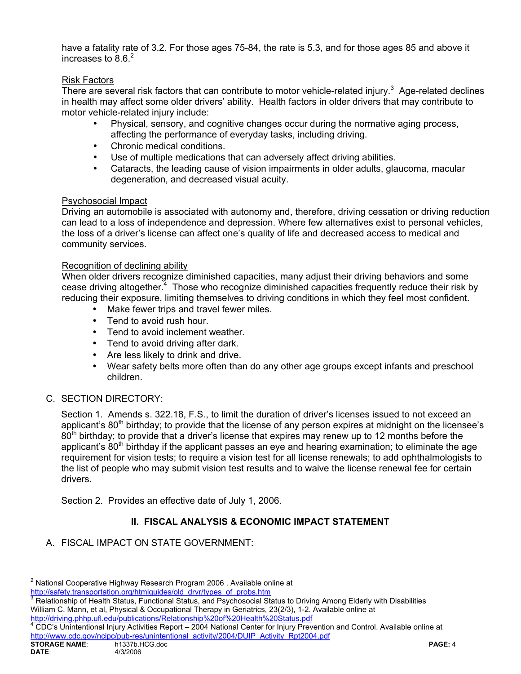have a fatality rate of 3.2. For those ages 75-84, the rate is 5.3, and for those ages 85 and above it increases to  $8.6.<sup>2</sup>$ 

# Risk Factors

There are several risk factors that can contribute to motor vehicle-related injury.<sup>3</sup> Age-related declines in health may affect some older drivers' ability. Health factors in older drivers that may contribute to motor vehicle-related injury include:

- Physical, sensory, and cognitive changes occur during the normative aging process, affecting the performance of everyday tasks, including driving.
- Chronic medical conditions.
- Use of multiple medications that can adversely affect driving abilities.
- Cataracts, the leading cause of vision impairments in older adults, glaucoma, macular degeneration, and decreased visual acuity.

## Psychosocial Impact

Driving an automobile is associated with autonomy and, therefore, driving cessation or driving reduction can lead to a loss of independence and depression. Where few alternatives exist to personal vehicles, the loss of a driver's license can affect one's quality of life and decreased access to medical and community services.

## Recognition of declining ability

When older drivers recognize diminished capacities, many adjust their driving behaviors and some cease driving altogether.<sup>4</sup> Those who recognize diminished capacities frequently reduce their risk by reducing their exposure, limiting themselves to driving conditions in which they feel most confident.

- Make fewer trips and travel fewer miles.
- Tend to avoid rush hour.
- Tend to avoid inclement weather.
- Tend to avoid driving after dark.
- Are less likely to drink and drive.
- Wear safety belts more often than do any other age groups except infants and preschool children.

## C. SECTION DIRECTORY:

Section 1. Amends s. 322.18, F.S., to limit the duration of driver's licenses issued to not exceed an applicant's  $80<sup>th</sup>$  birthday; to provide that the license of any person expires at midnight on the licensee's 80<sup>th</sup> birthday; to provide that a driver's license that expires may renew up to 12 months before the applicant's  $80<sup>th</sup>$  birthday if the applicant passes an eye and hearing examination; to eliminate the age requirement for vision tests; to require a vision test for all license renewals; to add ophthalmologists to the list of people who may submit vision test results and to waive the license renewal fee for certain drivers.

Section 2. Provides an effective date of July 1, 2006.

# **II. FISCAL ANALYSIS & ECONOMIC IMPACT STATEMENT**

A. FISCAL IMPACT ON STATE GOVERNMENT:

 $\overline{a}$ <sup>2</sup> National Cooperative Highway Research Program 2006 . Available online at http://safety.transportation.org/htmlguides/old\_drvr/types\_of\_probs.htm

Relationship of Health Status, Functional Status, and Psychosocial Status to Driving Among Elderly with Disabilities William C. Mann, et al, Physical & Occupational Therapy in Geriatrics, 23(2/3), 1-2. Available online at http://driving.phhp.ufl.edu/publications/Relationship%20of%20Health%20Status.pdf

CDC's Unintentional Injury Activities Report – 2004 National Center for Injury Prevention and Control. Available online at http://www.cdc.gov/ncipc/pub-res/unintentional\_activity/2004/DUIP\_Activity\_Rpt2004.pdf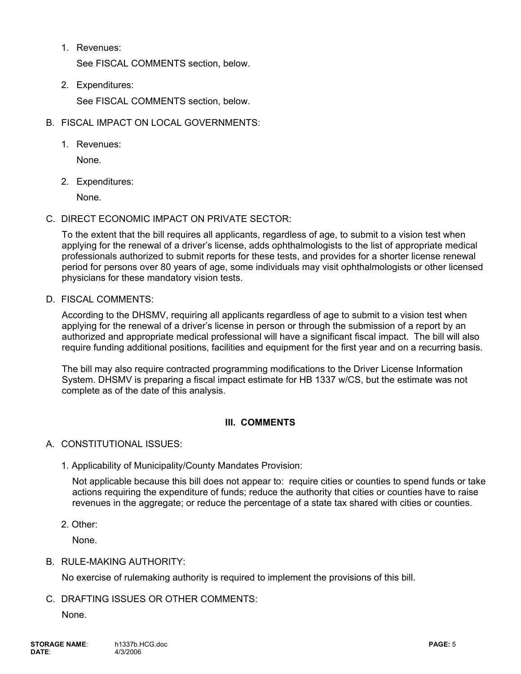1. Revenues:

See FISCAL COMMENTS section, below.

- 2. Expenditures: See FISCAL COMMENTS section, below.
- B. FISCAL IMPACT ON LOCAL GOVERNMENTS:
	- 1. Revenues:

None.

2. Expenditures:

None.

C. DIRECT ECONOMIC IMPACT ON PRIVATE SECTOR:

To the extent that the bill requires all applicants, regardless of age, to submit to a vision test when applying for the renewal of a driver's license, adds ophthalmologists to the list of appropriate medical professionals authorized to submit reports for these tests, and provides for a shorter license renewal period for persons over 80 years of age, some individuals may visit ophthalmologists or other licensed physicians for these mandatory vision tests.

D. FISCAL COMMENTS:

According to the DHSMV, requiring all applicants regardless of age to submit to a vision test when applying for the renewal of a driver's license in person or through the submission of a report by an authorized and appropriate medical professional will have a significant fiscal impact. The bill will also require funding additional positions, facilities and equipment for the first year and on a recurring basis.

The bill may also require contracted programming modifications to the Driver License Information System. DHSMV is preparing a fiscal impact estimate for HB 1337 w/CS, but the estimate was not complete as of the date of this analysis.

## **III. COMMENTS**

## A. CONSTITUTIONAL ISSUES:

1. Applicability of Municipality/County Mandates Provision:

Not applicable because this bill does not appear to: require cities or counties to spend funds or take actions requiring the expenditure of funds; reduce the authority that cities or counties have to raise revenues in the aggregate; or reduce the percentage of a state tax shared with cities or counties.

2. Other:

None.

## B. RULE-MAKING AUTHORITY:

No exercise of rulemaking authority is required to implement the provisions of this bill.

C. DRAFTING ISSUES OR OTHER COMMENTS:

None.